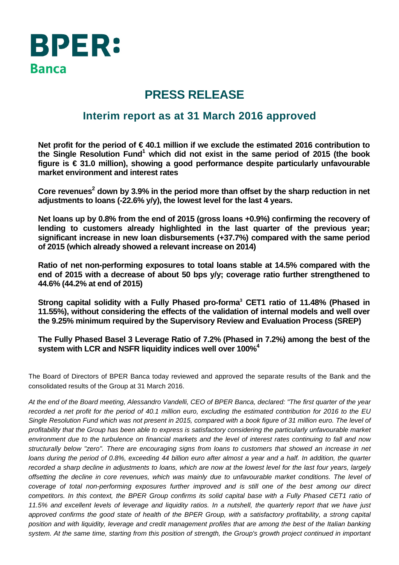

## **PRESS RELEASE**

### **Interim report as at 31 March 2016 approved**

**Net profit for the period of € 40.1 million if we exclude the estimated 2016 contribution to**  the Single Resolution Fund<sup>1</sup> which did not exist in the same period of 2015 (the book **figure is € 31.0 million), showing a good performance despite particularly unfavourable market environment and interest rates** 

Core revenues<sup>2</sup> down by 3.9% in the period more than offset by the sharp reduction in net **adjustments to loans (-22.6% y/y), the lowest level for the last 4 years.** 

**Net loans up by 0.8% from the end of 2015 (gross loans +0.9%) confirming the recovery of lending to customers already highlighted in the last quarter of the previous year; significant increase in new loan disbursements (+37.7%) compared with the same period of 2015 (which already showed a relevant increase on 2014)** 

**Ratio of net non-performing exposures to total loans stable at 14.5% compared with the end of 2015 with a decrease of about 50 bps y/y; coverage ratio further strengthened to 44.6% (44.2% at end of 2015)** 

Strong capital solidity with a Fully Phased pro-forma<sup>3</sup> CET1 ratio of 11.48% (Phased in **11.55%), without considering the effects of the validation of internal models and well over the 9.25% minimum required by the Supervisory Review and Evaluation Process (SREP)** 

**The Fully Phased Basel 3 Leverage Ratio of 7.2% (Phased in 7.2%) among the best of the system with LCR and NSFR liquidity indices well over 100%4**

The Board of Directors of BPER Banca today reviewed and approved the separate results of the Bank and the consolidated results of the Group at 31 March 2016.

*At the end of the Board meeting, Alessandro Vandelli, CEO of BPER Banca, declared: "The first quarter of the year recorded a net profit for the period of 40.1 million euro, excluding the estimated contribution for 2016 to the EU Single Resolution Fund which was not present in 2015, compared with a book figure of 31 million euro. The level of profitability that the Group has been able to express is satisfactory considering the particularly unfavourable market environment due to the turbulence on financial markets and the level of interest rates continuing to fall and now structurally below "zero". There are encouraging signs from loans to customers that showed an increase in net loans during the period of 0.8%, exceeding 44 billion euro after almost a year and a half. In addition, the quarter recorded a sharp decline in adjustments to loans, which are now at the lowest level for the last four years, largely offsetting the decline in core revenues, which was mainly due to unfavourable market conditions. The level of coverage of total non-performing exposures further improved and is still one of the best among our direct competitors. In this context, the BPER Group confirms its solid capital base with a Fully Phased CET1 ratio of 11.5% and excellent levels of leverage and liquidity ratios. In a nutshell, the quarterly report that we have just approved confirms the good state of health of the BPER Group, with a satisfactory profitability, a strong capital position and with liquidity, leverage and credit management profiles that are among the best of the Italian banking system. At the same time, starting from this position of strength, the Group's growth project continued in important*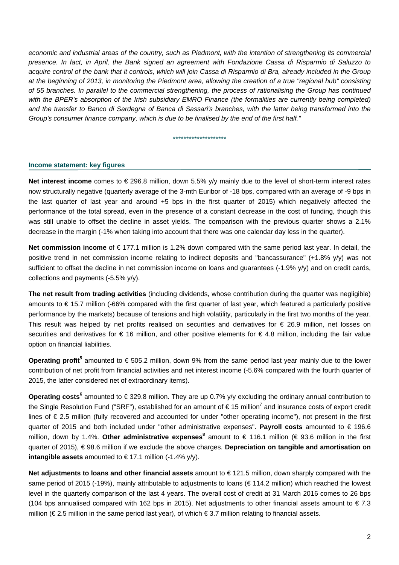*economic and industrial areas of the country, such as Piedmont, with the intention of strengthening its commercial presence. In fact, in April, the Bank signed an agreement with Fondazione Cassa di Risparmio di Saluzzo to acquire control of the bank that it controls, which will join Cassa di Risparmio di Bra, already included in the Group at the beginning of 2013, in monitoring the Piedmont area, allowing the creation of a true "regional hub" consisting of 55 branches. In parallel to the commercial strengthening, the process of rationalising the Group has continued*  with the BPER's absorption of the Irish subsidiary EMRO Finance (the formalities are currently being completed) *and the transfer to Banco di Sardegna of Banca di Sassari's branches, with the latter being transformed into the Group's consumer finance company, which is due to be finalised by the end of the first half."* 

#### \*\*\*\*\*\*\*\*\*\*\*\*\*\*\*\*\*\*\*\*

#### **Income statement: key figures**

**Net interest income** comes to € 296.8 million, down 5.5% y/y mainly due to the level of short-term interest rates now structurally negative (quarterly average of the 3-mth Euribor of -18 bps, compared with an average of -9 bps in the last quarter of last year and around +5 bps in the first quarter of 2015) which negatively affected the performance of the total spread, even in the presence of a constant decrease in the cost of funding, though this was still unable to offset the decline in asset yields. The comparison with the previous quarter shows a 2.1% decrease in the margin (-1% when taking into account that there was one calendar day less in the quarter).

**Net commission income** of € 177.1 million is 1.2% down compared with the same period last year. In detail, the positive trend in net commission income relating to indirect deposits and "bancassurance" (+1.8% y/y) was not sufficient to offset the decline in net commission income on loans and guarantees (-1.9% y/y) and on credit cards, collections and payments (-5.5% y/y).

**The net result from trading activities** (including dividends, whose contribution during the quarter was negligible) amounts to € 15.7 million (-66% compared with the first quarter of last year, which featured a particularly positive performance by the markets) because of tensions and high volatility, particularly in the first two months of the year. This result was helped by net profits realised on securities and derivatives for € 26.9 million, net losses on securities and derivatives for  $\epsilon$  16 million, and other positive elements for  $\epsilon$  4.8 million, including the fair value option on financial liabilities.

**Operating profit<sup>5</sup> amounted to € 505.2 million, down 9% from the same period last year mainly due to the lower** contribution of net profit from financial activities and net interest income (-5.6% compared with the fourth quarter of 2015, the latter considered net of extraordinary items).

**Operating costs<sup>6</sup> amounted to € 329.8 million. They are up 0.7% y/y excluding the ordinary annual contribution to** the Single Resolution Fund ("SRF"), established for an amount of  $\in$  15 million<sup>7</sup> and insurance costs of export credit lines of € 2.5 million (fully recovered and accounted for under "other operating income"), not present in the first quarter of 2015 and both included under "other administrative expenses". **Payroll costs** amounted to € 196.6 million, down by 1.4%. Other administrative expenses<sup>8</sup> amount to € 116.1 million (€ 93.6 million in the first quarter of 2015), € 98.6 million if we exclude the above charges. **Depreciation on tangible and amortisation on intangible assets** amounted to €17.1 million  $(-1.4\%$  y/y).

**Net adjustments to loans and other financial assets** amount to € 121.5 million, down sharply compared with the same period of 2015 (-19%), mainly attributable to adjustments to loans (€ 114.2 million) which reached the lowest level in the quarterly comparison of the last 4 years. The overall cost of credit at 31 March 2016 comes to 26 bps (104 bps annualised compared with 162 bps in 2015). Net adjustments to other financial assets amount to  $\in 7.3$ million (€ 2.5 million in the same period last year), of which € 3.7 million relating to financial assets.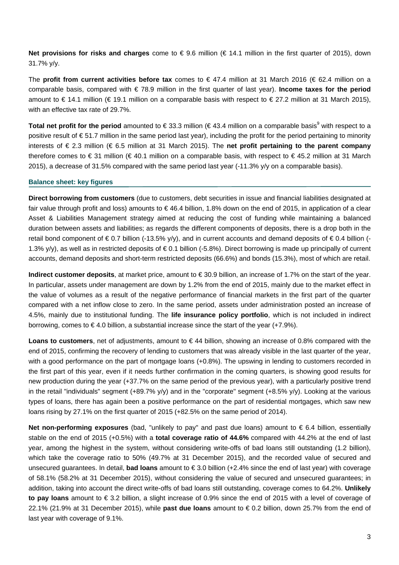**Net provisions for risks and charges** come to € 9.6 million (€ 14.1 million in the first quarter of 2015), down 31.7% y/y.

The **profit from current activities before tax** comes to € 47.4 million at 31 March 2016 (€ 62.4 million on a comparable basis, compared with € 78.9 million in the first quarter of last year). **Income taxes for the period** amount to € 14.1 million (€ 19.1 million on a comparable basis with respect to € 27.2 million at 31 March 2015), with an effective tax rate of 29.7%.

Total net profit for the period amounted to €33.3 million (€43.4 million on a comparable basis<sup>9</sup> with respect to a positive result of €51.7 million in the same period last year), including the profit for the period pertaining to minority interests of € 2.3 million (€ 6.5 million at 31 March 2015). The **net profit pertaining to the parent company** therefore comes to € 31 million (€ 40.1 million on a comparable basis, with respect to € 45.2 million at 31 March 2015), a decrease of 31.5% compared with the same period last year (-11.3% y/y on a comparable basis).

#### **Balance sheet: key figures**

**Direct borrowing from customers** (due to customers, debt securities in issue and financial liabilities designated at fair value through profit and loss) amounts to € 46.4 billion, 1.8% down on the end of 2015, in application of a clear Asset & Liabilities Management strategy aimed at reducing the cost of funding while maintaining a balanced duration between assets and liabilities; as regards the different components of deposits, there is a drop both in the retail bond component of  $\in 0.7$  billion (-13.5% y/y), and in current accounts and demand deposits of  $\in 0.4$  billion (-1.3% y/y), as well as in restricted deposits of  $\epsilon$  0.1 billion (-5.8%). Direct borrowing is made up principally of current accounts, demand deposits and short-term restricted deposits (66.6%) and bonds (15.3%), most of which are retail.

**Indirect customer deposits**, at market price, amount to € 30.9 billion, an increase of 1.7% on the start of the year. In particular, assets under management are down by 1.2% from the end of 2015, mainly due to the market effect in the value of volumes as a result of the negative performance of financial markets in the first part of the quarter compared with a net inflow close to zero. In the same period, assets under administration posted an increase of 4.5%, mainly due to institutional funding. The **life insurance policy portfolio**, which is not included in indirect borrowing, comes to  $\in$  4.0 billion, a substantial increase since the start of the year (+7.9%).

**Loans to customers**, net of adjustments, amount to € 44 billion, showing an increase of 0.8% compared with the end of 2015, confirming the recovery of lending to customers that was already visible in the last quarter of the year, with a good performance on the part of mortgage loans (+0.8%). The upswing in lending to customers recorded in the first part of this year, even if it needs further confirmation in the coming quarters, is showing good results for new production during the year (+37.7% on the same period of the previous year), with a particularly positive trend in the retail "individuals" segment (+89.7% y/y) and in the "corporate" segment (+8.5% y/y). Looking at the various types of loans, there has again been a positive performance on the part of residential mortgages, which saw new loans rising by 27.1% on the first quarter of 2015 (+82.5% on the same period of 2014).

**Net non-performing exposures** (bad, "unlikely to pay" and past due loans) amount to € 6.4 billion, essentially stable on the end of 2015 (+0.5%) with a **total coverage ratio of 44.6%** compared with 44.2% at the end of last year, among the highest in the system, without considering write-offs of bad loans still outstanding (1.2 billion), which take the coverage ratio to 50% (49.7% at 31 December 2015), and the recorded value of secured and unsecured guarantees. In detail, **bad loans** amount to € 3.0 billion (+2.4% since the end of last year) with coverage of 58.1% (58.2% at 31 December 2015), without considering the value of secured and unsecured guarantees; in addition, taking into account the direct write-offs of bad loans still outstanding, coverage comes to 64.2%. **Unlikely to pay loans** amount to € 3.2 billion, a slight increase of 0.9% since the end of 2015 with a level of coverage of 22.1% (21.9% at 31 December 2015), while **past due loans** amount to € 0.2 billion, down 25.7% from the end of last year with coverage of 9.1%.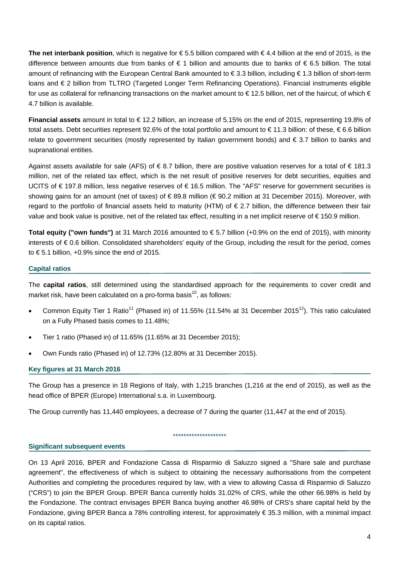**The net interbank position**, which is negative for € 5.5 billion compared with € 4.4 billion at the end of 2015, is the difference between amounts due from banks of € 1 billion and amounts due to banks of € 6.5 billion. The total amount of refinancing with the European Central Bank amounted to € 3.3 billion, including € 1.3 billion of short-term loans and € 2 billion from TLTRO (Targeted Longer Term Refinancing Operations). Financial instruments eligible for use as collateral for refinancing transactions on the market amount to  $\epsilon$  12.5 billion, net of the haircut, of which  $\epsilon$ 4.7 billion is available.

**Financial assets** amount in total to € 12.2 billion, an increase of 5.15% on the end of 2015, representing 19.8% of total assets. Debt securities represent 92.6% of the total portfolio and amount to € 11.3 billion: of these, € 6.6 billion relate to government securities (mostly represented by Italian government bonds) and € 3.7 billion to banks and supranational entities.

Against assets available for sale (AFS) of  $\in$  8.7 billion, there are positive valuation reserves for a total of  $\in$  181.3 million, net of the related tax effect, which is the net result of positive reserves for debt securities, equities and UCITS of € 197.8 million, less negative reserves of € 16.5 million. The "AFS" reserve for government securities is showing gains for an amount (net of taxes) of € 89.8 million (€ 90.2 million at 31 December 2015). Moreover, with regard to the portfolio of financial assets held to maturity (HTM) of € 2.7 billion, the difference between their fair value and book value is positive, net of the related tax effect, resulting in a net implicit reserve of € 150.9 million.

**Total equity ("own funds")** at 31 March 2016 amounted to € 5.7 billion (+0.9% on the end of 2015), with minority interests of € 0.6 billion. Consolidated shareholders' equity of the Group, including the result for the period, comes to  $\epsilon$  5.1 billion, +0.9% since the end of 2015.

#### **Capital ratios**

The **capital ratios**, still determined using the standardised approach for the requirements to cover credit and market risk, have been calculated on a pro-forma basis<sup>10</sup>, as follows:

- Common Equity Tier 1 Ratio<sup>11</sup> (Phased in) of 11.55% (11.54% at 31 December 2015<sup>12</sup>). This ratio calculated on a Fully Phased basis comes to 11.48%;
- Tier 1 ratio (Phased in) of 11.65% (11.65% at 31 December 2015);
- Own Funds ratio (Phased in) of 12.73% (12.80% at 31 December 2015).

#### **Key figures at 31 March 2016**

The Group has a presence in 18 Regions of Italy, with 1,215 branches (1,216 at the end of 2015), as well as the head office of BPER (Europe) International s.a. in Luxembourg.

\*\*\*\*\*\*\*\*\*\*\*\*\*\*\*\*\*\*\*\*

The Group currently has 11,440 employees, a decrease of 7 during the quarter (11,447 at the end of 2015).

#### **Significant subsequent events**

On 13 April 2016, BPER and Fondazione Cassa di Risparmio di Saluzzo signed a "Share sale and purchase agreement", the effectiveness of which is subject to obtaining the necessary authorisations from the competent Authorities and completing the procedures required by law, with a view to allowing Cassa di Risparmio di Saluzzo ("CRS") to join the BPER Group. BPER Banca currently holds 31.02% of CRS, while the other 66.98% is held by the Fondazione. The contract envisages BPER Banca buying another 46.98% of CRS's share capital held by the Fondazione, giving BPER Banca a 78% controlling interest, for approximately € 35.3 million, with a minimal impact on its capital ratios.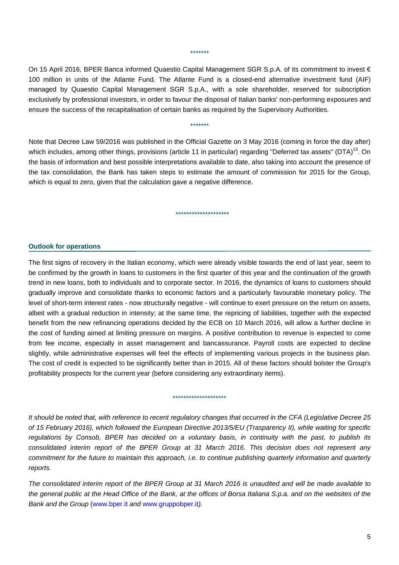#### \*\*\*\*\*\*\*

On 15 April 2016, BPER Banca informed Quaestio Capital Management SGR S.p.A. of its commitment to invest € 100 million in units of the Atlante Fund. The Atlante Fund is a closed-end alternative investment fund (AIF) managed by Quaestio Capital Management SGR S.p.A., with a sole shareholder, reserved for subscription exclusively by professional investors, in order to favour the disposal of Italian banks' non-performing exposures and ensure the success of the recapitalisation of certain banks as required by the Supervisory Authorities.

\*\*\*\*\*\*\*

### Note that Decree Law 59/2016 was published in the Official Gazette on 3 May 2016 (coming in force the day after) which includes, among other things, provisions (article 11 in particular) regarding "Deferred tax assets" (DTA)<sup>13</sup>. On the basis of information and best possible interpretations available to date, also taking into account the presence of the tax consolidation, the Bank has taken steps to estimate the amount of commission for 2015 for the Group, which is equal to zero, given that the calculation gave a negative difference.

\*\*\*\*\*\*\*\*\*\*\*\*\*\*\*\*\*\*\*\*

#### **Outlook for operations**

The first signs of recovery in the Italian economy, which were already visible towards the end of last year, seem to be confirmed by the growth in loans to customers in the first quarter of this year and the continuation of the growth trend in new loans, both to individuals and to corporate sector. In 2016, the dynamics of loans to customers should gradually improve and consolidate thanks to economic factors and a particularly favourable monetary policy. The level of short-term interest rates - now structurally negative - will continue to exert pressure on the return on assets, albeit with a gradual reduction in intensity; at the same time, the repricing of liabilities, together with the expected benefit from the new refinancing operations decided by the ECB on 10 March 2016, will allow a further decline in the cost of funding aimed at limiting pressure on margins. A positive contribution to revenue is expected to come from fee income, especially in asset management and bancassurance. Payroll costs are expected to decline slightly, while administrative expenses will feel the effects of implementing various projects in the business plan. The cost of credit is expected to be significantly better than in 2015. All of these factors should bolster the Group's profitability prospects for the current year (before considering any extraordinary items).

#### \*\*\*\*\*\*\*\*\*\*\*\*\*\*\*\*\*\*\*\*

*It should be noted that, with reference to recent regulatory changes that occurred in the CFA (Legislative Decree 25 of 15 February 2016), which followed the European Directive 2013/5/EU (Trasparency II), while waiting for specific regulations by Consob, BPER has decided on a voluntary basis, in continuity with the past, to publish its consolidated interim report of the BPER Group at 31 March 2016. This decision does not represent any commitment for the future to maintain this approach, i.e. to continue publishing quarterly information and quarterly reports.* 

*The consolidated interim report of the BPER Group at 31 March 2016 is unaudited and will be made available to the general public at the Head Office of the Bank, at the offices of Borsa Italiana S.p.a. and on the websites of the Bank and the Group* (www.bper.it *and* www.gruppobper.it*).*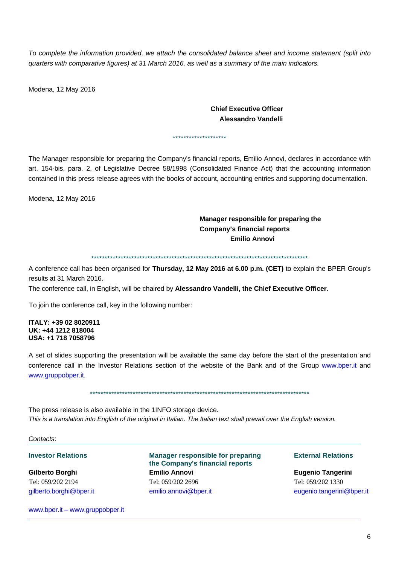*To complete the information provided, we attach the consolidated balance sheet and income statement (split into quarters with comparative figures) at 31 March 2016, as well as a summary of the main indicators.* 

Modena, 12 May 2016

#### **Chief Executive Officer Alessandro Vandelli**

### The Manager responsible for preparing the Company's financial reports, Emilio Annovi, declares in accordance with art. 154-bis, para. 2, of Legislative Decree 58/1998 (Consolidated Finance Act) that the accounting information contained in this press release agrees with the books of account, accounting entries and supporting documentation.

\*\*\*\*\*\*\*\*\*\*\*\*\*\*\*\*\*\*\*\*

Modena, 12 May 2016

#### **Manager responsible for preparing the Company's financial reports Emilio Annovi**

\*\*\*\*\*\*\*\*\*\*\*\*\*\*\*\*\*\*\*\*\*\*\*\*\*\*\*\*\*\*\*\*\*\*\*\*\*\*\*\*\*\*\*\*\*\*\*\*\*\*\*\*\*\*\*\*\*\*\*\*\*\*\*\*\*\*\*\*\*\*\*\*\*\*\*\*\*\*\*\*\*

A conference call has been organised for **Thursday, 12 May 2016 at 6.00 p.m. (CET)** to explain the BPER Group's results at 31 March 2016.

The conference call, in English, will be chaired by **Alessandro Vandelli, the Chief Executive Officer**.

To join the conference call, key in the following number:

#### **ITALY: +39 02 8020911 UK: +44 1212 818004 USA: +1 718 7058796**

A set of slides supporting the presentation will be available the same day before the start of the presentation and conference call in the Investor Relations section of the website of the Bank and of the Group www.bper.it and www.gruppobper.it.

\*\*\*\*\*\*\*\*\*\*\*\*\*\*\*\*\*\*\*\*\*\*\*\*\*\*\*\*\*\*\*\*\*\*\*\*\*\*\*\*\*\*\*\*\*\*\*\*\*\*\*\*\*\*\*\*\*\*\*\*\*\*\*\*\*\*\*\*\*\*\*\*\*\*\*\*\*\*\*\*\*\*

The press release is also available in the 1INFO storage device. *This is a translation into English of the original in Italian. The Italian text shall prevail over the English version.* 

#### *Contacts*:

www.bper.it – www.gruppobper.it

**Investor Relations Transform Consumer Manager responsible for preparing Transform External Relations the Company's financial reports Gilberto Borghi Emilio Annovi Eugenio Tangerini**  Tel: 059/202 2194 Tel: 059/202 2696 Tel: 059/202 1330 gilberto.borghi@bper.it emilio.annovi@bper.it eugenio.tangerini@bper.it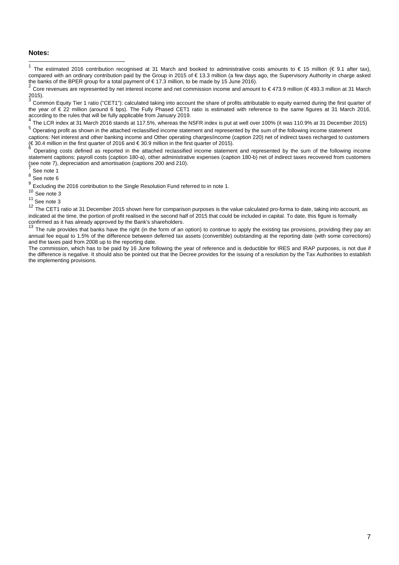#### **Notes:**

 $\mathbf{1}$ The estimated 2016 contribution recognised at 31 March and booked to administrative costs amounts to  $\epsilon$  15 million ( $\epsilon$  9.1 after tax), compared with an ordinary contribution paid by the Group in 2015 of € 13.3 million (a few days ago, the Supervisory Authority in charge asked the banks of the BPER group for a total payment of € 17.3 million, to be made by 15 June 2016).

5 Operating profit as shown in the attached reclassified income statement and represented by the sum of the following income statement

captions: Net interest and other banking income and Other operating charges/income (caption 220) net of indirect taxes recharged to customers (€ 30.4 million in the first quarter of 2016 and € 30.9 million in the first quarter of 2015).<br>
€ 30.4 million in the first quarter of 2015).

<sup>6</sup> Operating costs defined as reported in the attached reclassified income statement and represented by the sum of the following income statement captions: payroll costs (caption 180-a), other administrative expenses (caption 180-b) net of indirect taxes recovered from customers (see note 7), depreciation and amortisation (captions 200 and 210).<br>  $\frac{7}{3}$  See note 1

 $\frac{8}{9}$  See note 6

- $10$  See note 3
- $11$  See note 3

<sup>12</sup> The CET1 ratio at 31 December 2015 shown here for comparison purposes is the value calculated pro-forma to date, taking into account, as indicated at the time, the portion of profit realised in the second half of 2015 that could be included in capital. To date, this figure is formally confirmed as it has already approved by the Bank's shareholders.<br><sup>13</sup> The

The rule provides that banks have the right (in the form of an option) to continue to apply the existing tax provisions, providing they pay an annual fee equal to 1.5% of the difference between deferred tax assets (convertible) outstanding at the reporting date (with some corrections) and the taxes paid from 2008 up to the reporting date.

The commission, which has to be paid by 16 June following the year of reference and is deductible for IRES and IRAP purposes, is not due if the difference is negative. It should also be pointed out that the Decree provides for the issuing of a resolution by the Tax Authorities to establish the implementing provisions.

<sup>2</sup> Core revenues are represented by net interest income and net commission income and amount to € 473.9 million (€ 493.3 million at 31 March

<sup>2015).&</sup>lt;br>2015).<br><sup>3</sup> Common Equity Tier 1 ratio ("CET1"): calculated taking into account the share of profits attributable to equity earned during the first quarter of the year of € 22 million (around 6 bps). The Fully Phased CET1 ratio is estimated with reference to the same figures at 31 March 2016, according to the rules that will be fully applicable from January 2019.<br>
<sup>4</sup> The LCR index at 31 March 2016 stands at 117.5%, whereas the NSFR index is put at well over 100% (it was 110.9% at 31 December 2015)

Excluding the 2016 contribution to the Single Resolution Fund referred to in note 1.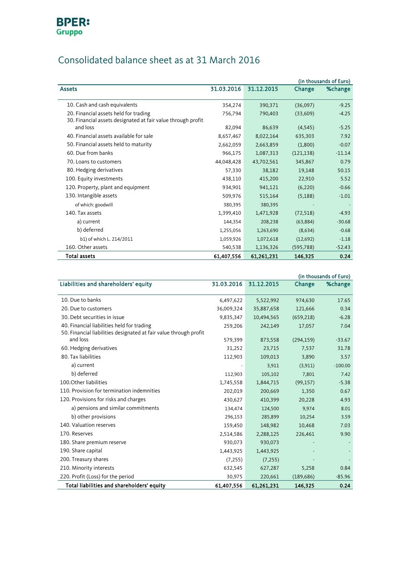

## Consolidated balance sheet as at 31 March 2016

|                                                                                                       |            |            |            | (in thousands of Euro) |
|-------------------------------------------------------------------------------------------------------|------------|------------|------------|------------------------|
| <b>Assets</b>                                                                                         | 31.03.2016 | 31.12.2015 | Change     | %change                |
|                                                                                                       |            |            |            |                        |
| 10. Cash and cash equivalents                                                                         | 354,274    | 390,371    | (36,097)   | $-9.25$                |
| 20. Financial assets held for trading<br>30. Financial assets designated at fair value through profit | 756,794    | 790,403    | (33,609)   | $-4.25$                |
| and loss                                                                                              | 82,094     | 86,639     | (4,545)    | $-5.25$                |
| 40. Financial assets available for sale                                                               | 8,657,467  | 8,022,164  | 635,303    | 7.92                   |
| 50. Financial assets held to maturity                                                                 | 2,662,059  | 2,663,859  | (1,800)    | $-0.07$                |
| 60. Due from banks                                                                                    | 966,175    | 1,087,313  | (121, 138) | $-11.14$               |
| 70. Loans to customers                                                                                | 44,048,428 | 43,702,561 | 345,867    | 0.79                   |
| 80. Hedging derivatives                                                                               | 57,330     | 38,182     | 19,148     | 50.15                  |
| 100. Equity investments                                                                               | 438,110    | 415,200    | 22,910     | 5.52                   |
| 120. Property, plant and equipment                                                                    | 934.901    | 941,121    | (6, 220)   | $-0.66$                |
| 130. Intangible assets                                                                                | 509,976    | 515,164    | (5, 188)   | $-1.01$                |
| of which: goodwill                                                                                    | 380,395    | 380,395    |            |                        |
| 140. Tax assets                                                                                       | 1,399,410  | 1,471,928  | (72, 518)  | $-4.93$                |
| a) current                                                                                            | 144,354    | 208,238    | (63, 884)  | $-30.68$               |
| b) deferred                                                                                           | 1,255,056  | 1,263,690  | (8,634)    | $-0.68$                |
| b1) of which L. 214/2011                                                                              | 1,059,926  | 1,072,618  | (12,692)   | $-1.18$                |
| 160. Other assets                                                                                     | 540,538    | 1,136,326  | (595, 788) | $-52.43$               |
| <b>Total assets</b>                                                                                   | 61,407,556 | 61,261,231 | 146,325    | 0.24                   |

<span id="page-7-0"></span>

|                                                                   |            |            |            | (in thousands of Euro) |
|-------------------------------------------------------------------|------------|------------|------------|------------------------|
| Liabilities and shareholders' equity                              | 31.03.2016 | 31.12.2015 | Change     | %change                |
|                                                                   |            |            |            |                        |
| 10. Due to banks                                                  | 6,497,622  | 5,522,992  | 974,630    | 17.65                  |
| 20. Due to customers                                              | 36,009,324 | 35,887,658 | 121,666    | 0.34                   |
| 30. Debt securities in issue                                      | 9,835,347  | 10,494,565 | (659, 218) | $-6.28$                |
| 40. Financial liabilities held for trading                        | 259,206    | 242,149    | 17,057     | 7.04                   |
| 50. Financial liabilities designated at fair value through profit |            |            |            |                        |
| and loss                                                          | 579,399    | 873,558    | (294, 159) | $-33.67$               |
| 60. Hedging derivatives                                           | 31,252     | 23,715     | 7,537      | 31.78                  |
| 80. Tax liabilities                                               | 112,903    | 109,013    | 3,890      | 3.57                   |
| a) current                                                        |            | 3,911      | (3,911)    | $-100.00$              |
| b) deferred                                                       | 112,903    | 105,102    | 7,801      | 7.42                   |
| 100. Other liabilities                                            | 1,745,558  | 1,844,715  | (99, 157)  | $-5.38$                |
| 110. Provision for termination indemnities                        | 202,019    | 200,669    | 1,350      | 0.67                   |
| 120. Provisions for risks and charges                             | 430,627    | 410,399    | 20,228     | 4.93                   |
| a) pensions and similar commitments                               | 134,474    | 124,500    | 9,974      | 8.01                   |
| b) other provisions                                               | 296,153    | 285,899    | 10,254     | 3.59                   |
| 140. Valuation reserves                                           | 159,450    | 148,982    | 10,468     | 7.03                   |
| 170. Reserves                                                     | 2,514,586  | 2,288,125  | 226,461    | 9.90                   |
| 180. Share premium reserve                                        | 930,073    | 930,073    |            |                        |
| 190. Share capital                                                | 1,443,925  | 1,443,925  |            |                        |
| 200. Treasury shares                                              | (7, 255)   | (7, 255)   |            |                        |
| 210. Minority interests                                           | 632,545    | 627,287    | 5,258      | 0.84                   |
| 220. Profit (Loss) for the period                                 | 30,975     | 220,661    | (189, 686) | $-85.96$               |
| Total liabilities and shareholders' equity                        | 61,407,556 | 61,261,231 | 146,325    | 0.24                   |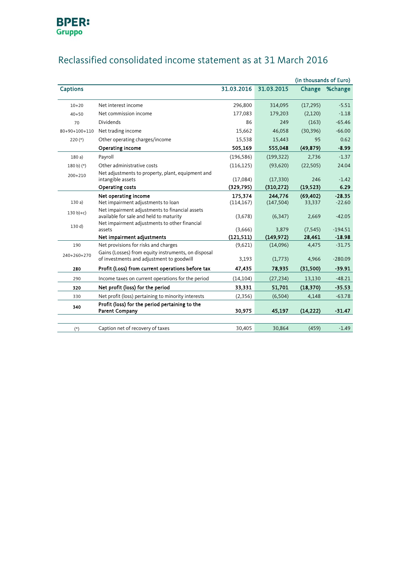

|                 |                                                                                                                                            |            |            | (in thousands of Euro) |                |
|-----------------|--------------------------------------------------------------------------------------------------------------------------------------------|------------|------------|------------------------|----------------|
| <b>Captions</b> |                                                                                                                                            | 31.03.2016 | 31.03.2015 |                        | Change %change |
| $10+20$         | Net interest income                                                                                                                        | 296,800    | 314,095    | (17, 295)              | $-5.51$        |
| $40 + 50$       | Net commission income                                                                                                                      | 177,083    | 179,203    | (2,120)                | $-1.18$        |
|                 |                                                                                                                                            |            |            |                        |                |
| 70              | <b>Dividends</b>                                                                                                                           | 86         | 249        | (163)                  | $-65.46$       |
| 80+90+100+110   | Net trading income                                                                                                                         | 15,662     | 46,058     | (30, 396)              | $-66.00$       |
| $220(*)$        | Other operating charges/income                                                                                                             | 15,538     | 15,443     | 95                     | 0.62           |
|                 | Operating income                                                                                                                           | 505,169    | 555,048    | (49, 879)              | $-8.99$        |
| 180a)           | Payroll                                                                                                                                    | (196, 586) | (199, 322) | 2,736                  | $-1.37$        |
| $180 b) (*)$    | Other administrative costs                                                                                                                 | (116, 125) | (93,620)   | (22, 505)              | 24.04          |
| $200 + 210$     | Net adjustments to property, plant, equipment and                                                                                          |            |            |                        |                |
|                 | intangible assets                                                                                                                          | (17,084)   | (17, 330)  | 246                    | $-1.42$        |
|                 | <b>Operating costs</b>                                                                                                                     | (329,795)  | (310, 272) | (19, 523)              | 6.29           |
|                 | Net operating income                                                                                                                       | 175.374    | 244.776    | (69, 402)              | $-28.35$       |
| 130a            | Net impairment adjustments to loan                                                                                                         | (114, 167) | (147, 504) | 33,337                 | $-22.60$       |
| $130 b)+c)$     | Net impairment adjustments to financial assets<br>available for sale and held to maturity<br>Net impairment adjustments to other financial | (3,678)    | (6, 347)   | 2,669                  | $-42.05$       |
| 130 d)          | assets                                                                                                                                     | (3,666)    | 3,879      | (7, 545)               | $-194.51$      |
|                 | Net impairment adjustments                                                                                                                 | (121, 511) | (149, 972) | 28,461                 | $-18.98$       |
| 190             | Net provisions for risks and charges                                                                                                       | (9,621)    | (14,096)   | 4,475                  | $-31.75$       |
| 240+260+270     | Gains (Losses) from equity instruments, on disposal<br>of investments and adjustment to goodwill                                           | 3,193      | (1,773)    | 4,966                  | $-280.09$      |
| 280             | Profit (Loss) from current operations before tax                                                                                           | 47,435     | 78,935     | (31,500)               | $-39.91$       |
| 290             | Income taxes on current operations for the period                                                                                          | (14, 104)  | (27, 234)  | 13,130                 | $-48.21$       |
| 320             | Net profit (loss) for the period                                                                                                           | 33,331     | 51,701     | (18, 370)              | $-35.53$       |
| 330             | Net profit (loss) pertaining to minority interests                                                                                         | (2,356)    | (6,504)    | 4,148                  | $-63.78$       |
| 340             | Profit (loss) for the period pertaining to the<br><b>Parent Company</b>                                                                    | 30,975     | 45,197     | (14, 222)              | $-31.47$       |
|                 |                                                                                                                                            |            |            |                        |                |
| $(*)$           | Caption net of recovery of taxes                                                                                                           | 30,405     | 30,864     | (459)                  | $-1.49$        |

## Reclassified consolidated income statement as at 31 March 2016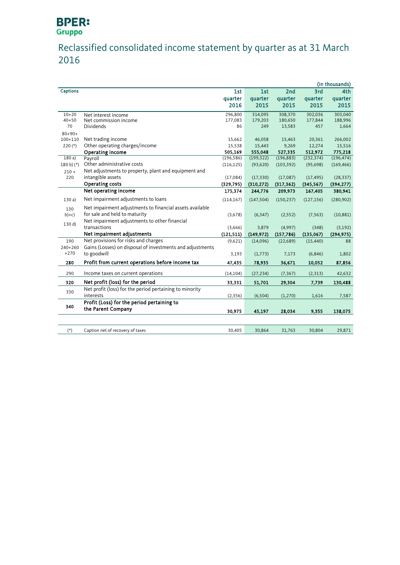# **BPER:**<br>Gruppo

## Reclassified consolidated income statement by quarter as at 31 March 2016

|                 |                                                           |            |            |            |            | (in thousands) |
|-----------------|-----------------------------------------------------------|------------|------------|------------|------------|----------------|
| <b>Captions</b> |                                                           | 1st        | 1st        | 2nd        | 3rd        | 4th            |
|                 |                                                           | quarter    | quarter    | quarter    | quarter    | quarter        |
|                 |                                                           | 2016       | 2015       | 2015       | 2015       | 2015           |
| $10 + 20$       | Net interest income                                       | 296,800    | 314,095    | 308,370    | 302,036    | 303,040        |
| $40 + 50$       | Net commission income                                     | 177,083    | 179,203    | 180,650    | 177,844    | 188,996        |
| 70              | Dividends                                                 | 86         | 249        | 13,583     | 457        | 1,664          |
| $80 + 90 +$     |                                                           |            |            |            |            |                |
| $100 + 110$     | Net trading income                                        | 15,662     | 46,058     | 15,463     | 20,361     | 266,002        |
| $220(*)$        | Other operating charges/income                            | 15,538     | 15,443     | 9,269      | 12,274     | 15,516         |
|                 | Operating income                                          | 505,169    | 555,048    | 527,335    | 512,972    | 775,218        |
| 180a)           | Payroll                                                   | (196, 586) | (199, 322) | (196, 883) | (232, 374) | (196, 474)     |
| 180 b) $(*)$    | Other administrative costs                                | (116, 125) | (93, 620)  | (103, 392) | (95, 698)  | (169, 466)     |
| $210 +$         | Net adjustments to property, plant and equipment and      |            |            |            |            |                |
| 220             | intangible assets                                         | (17,084)   | (17, 330)  | (17,087)   | (17, 495)  | (28, 337)      |
|                 | Operating costs                                           | (329, 795) | (310, 272) | (317, 362) | (345, 567) | (394, 277)     |
|                 | Net operating income                                      | 175,374    | 244,776    | 209,973    | 167,405    | 380,941        |
| 130a)           | Net impairment adjustments to loans                       | (114, 167) | (147, 504) | (150, 237) | (127, 156) | (280, 902)     |
| 130             | Net impairment adjustments to financial assets available  |            |            |            |            |                |
| $b)+c)$         | for sale and held to maturity                             | (3,678)    | (6, 347)   | (2, 552)   | (7, 563)   | (10, 881)      |
| 130 d)          | Net impairment adjustments to other financial             |            |            |            |            |                |
|                 | transactions                                              | (3,666)    | 3,879      | (4,997)    | (348)      | (3, 192)       |
|                 | Net impairment adjustments                                | (121, 511) | (149, 972) | (157, 786) | (135,067)  | (294, 975)     |
| 190             | Net provisions for risks and charges                      | (9,621)    | (14,096)   | (22, 689)  | (15, 440)  | 88             |
| $240 + 260$     | Gains (Losses) on disposal of investments and adjustments |            |            |            |            |                |
| $+270$          | to goodwill                                               | 3,193      | (1,773)    | 7,173      | (6, 846)   | 1,802          |
| 280             | Profit from current operations before income tax          | 47,435     | 78,935     | 36,671     | 10,052     | 87,856         |
| 290             | Income taxes on current operations                        | (14, 104)  | (27, 234)  | (7, 367)   | (2, 313)   | 42,632         |
| 320             | Net profit (loss) for the period                          | 33,331     | 51,701     | 29,304     | 7,739      | 130,488        |
|                 | Net profit (loss) for the period pertaining to minority   |            |            |            |            |                |
| 330             | interests                                                 | (2, 356)   | (6, 504)   | (1,270)    | 1,616      | 7,587          |
|                 | Profit (Loss) for the period pertaining to                |            |            |            |            |                |
| 340             | the Parent Company                                        | 30,975     | 45,197     | 28,034     | 9,355      | 138,075        |
|                 |                                                           |            |            |            |            |                |
| $(*)$           | Caption net of recovery of taxes                          | 30,405     | 30,864     | 31,763     | 30,804     | 29,871         |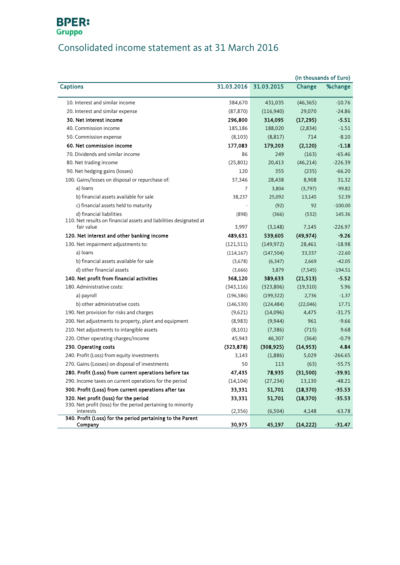## **BPER:**<br>Gruppo

## Consolidated income statement as at 31 March 2016

| 31.03.2015<br><b>Captions</b><br>31.03.2016<br>Change<br>10. Interest and similar income<br>384,670<br>431,035<br>(46, 365)<br>(116,940)<br>29,070<br>20. Interest and similar expense<br>(87, 870)<br>30. Net interest income<br>296,800<br>314,095<br>(17, 295)<br>40. Commission income<br>188,020<br>(2,834)<br>185,186<br>714<br>50. Commission expense<br>(8,103)<br>(8, 817)<br>177,083<br>179,203<br>(2, 120)<br>60. Net commission income<br>70. Dividends and similar income<br>(163)<br>86<br>249<br>80. Net trading income<br>(25, 801)<br>(46, 214)<br>20,413<br>90. Net hedging gains (losses)<br>355<br>120<br>(235)<br>8,908<br>100. Gains/losses on disposal or repurchase of:<br>37,346<br>28,438<br>a) loans<br>7<br>3,804<br>(3,797)<br>b) financial assets available for sale<br>38,237<br>25,092<br>13,145<br>c) financial assets held to maturity<br>92<br>(92)<br>d) financial liabilities<br>(898)<br>(366)<br>(532)<br>110. Net results on financial assets and liabilities designated at<br>fair value<br>3,997<br>(3, 148)<br>7,145<br>(49, 974)<br>120. Net interest and other banking income<br>489,631<br>539,605<br>130. Net impairment adjustments to:<br>(121, 511)<br>(149, 972)<br>28,461<br>a) loans<br>(147, 504)<br>33,337<br>(114, 167)<br>b) financial assets available for sale<br>(6, 347)<br>2,669<br>(3,678)<br>d) other financial assets<br>(3,666)<br>3,879<br>(7, 545)<br>140. Net profit from financial activities<br>(21, 513)<br>368,120<br>389,633<br>180. Administrative costs:<br>(343, 116)<br>(323, 806)<br>(19,310)<br>a) payroll<br>(196, 586)<br>(199, 322)<br>2,736<br>b) other administrative costs<br>(146, 530)<br>(124, 484)<br>(22,046)<br>190. Net provision for risks and charges<br>(9,621)<br>(14,096)<br>4,475<br>200. Net adjustments to property, plant and equipment<br>(8,983)<br>(9, 944)<br>961<br>210. Net adjustments to intangible assets<br>(8,101)<br>(7, 386)<br>(715)<br>45,943<br>220. Other operating charges/income<br>46,307<br>(364)<br>(14, 953)<br>230. Operating costs<br>(323, 878)<br>(308, 925)<br>240. Profit (Loss) from equity investments<br>3,143<br>(1,886)<br>5,029<br>270. Gains (Losses) on disposal of investments<br>50<br>113<br>(63) |                                                       |        |        |          | (in thousands of Euro) |
|-------------------------------------------------------------------------------------------------------------------------------------------------------------------------------------------------------------------------------------------------------------------------------------------------------------------------------------------------------------------------------------------------------------------------------------------------------------------------------------------------------------------------------------------------------------------------------------------------------------------------------------------------------------------------------------------------------------------------------------------------------------------------------------------------------------------------------------------------------------------------------------------------------------------------------------------------------------------------------------------------------------------------------------------------------------------------------------------------------------------------------------------------------------------------------------------------------------------------------------------------------------------------------------------------------------------------------------------------------------------------------------------------------------------------------------------------------------------------------------------------------------------------------------------------------------------------------------------------------------------------------------------------------------------------------------------------------------------------------------------------------------------------------------------------------------------------------------------------------------------------------------------------------------------------------------------------------------------------------------------------------------------------------------------------------------------------------------------------------------------------------------------------------------------------------------------------------------------------------------------------|-------------------------------------------------------|--------|--------|----------|------------------------|
|                                                                                                                                                                                                                                                                                                                                                                                                                                                                                                                                                                                                                                                                                                                                                                                                                                                                                                                                                                                                                                                                                                                                                                                                                                                                                                                                                                                                                                                                                                                                                                                                                                                                                                                                                                                                                                                                                                                                                                                                                                                                                                                                                                                                                                                 |                                                       |        |        |          | %change                |
|                                                                                                                                                                                                                                                                                                                                                                                                                                                                                                                                                                                                                                                                                                                                                                                                                                                                                                                                                                                                                                                                                                                                                                                                                                                                                                                                                                                                                                                                                                                                                                                                                                                                                                                                                                                                                                                                                                                                                                                                                                                                                                                                                                                                                                                 |                                                       |        |        |          | $-10.76$               |
|                                                                                                                                                                                                                                                                                                                                                                                                                                                                                                                                                                                                                                                                                                                                                                                                                                                                                                                                                                                                                                                                                                                                                                                                                                                                                                                                                                                                                                                                                                                                                                                                                                                                                                                                                                                                                                                                                                                                                                                                                                                                                                                                                                                                                                                 |                                                       |        |        |          | $-24.86$               |
|                                                                                                                                                                                                                                                                                                                                                                                                                                                                                                                                                                                                                                                                                                                                                                                                                                                                                                                                                                                                                                                                                                                                                                                                                                                                                                                                                                                                                                                                                                                                                                                                                                                                                                                                                                                                                                                                                                                                                                                                                                                                                                                                                                                                                                                 |                                                       |        |        |          | $-5.51$                |
|                                                                                                                                                                                                                                                                                                                                                                                                                                                                                                                                                                                                                                                                                                                                                                                                                                                                                                                                                                                                                                                                                                                                                                                                                                                                                                                                                                                                                                                                                                                                                                                                                                                                                                                                                                                                                                                                                                                                                                                                                                                                                                                                                                                                                                                 |                                                       |        |        |          | $-1.51$                |
|                                                                                                                                                                                                                                                                                                                                                                                                                                                                                                                                                                                                                                                                                                                                                                                                                                                                                                                                                                                                                                                                                                                                                                                                                                                                                                                                                                                                                                                                                                                                                                                                                                                                                                                                                                                                                                                                                                                                                                                                                                                                                                                                                                                                                                                 |                                                       |        |        |          | $-8.10$                |
|                                                                                                                                                                                                                                                                                                                                                                                                                                                                                                                                                                                                                                                                                                                                                                                                                                                                                                                                                                                                                                                                                                                                                                                                                                                                                                                                                                                                                                                                                                                                                                                                                                                                                                                                                                                                                                                                                                                                                                                                                                                                                                                                                                                                                                                 |                                                       |        |        |          | $-1.18$                |
|                                                                                                                                                                                                                                                                                                                                                                                                                                                                                                                                                                                                                                                                                                                                                                                                                                                                                                                                                                                                                                                                                                                                                                                                                                                                                                                                                                                                                                                                                                                                                                                                                                                                                                                                                                                                                                                                                                                                                                                                                                                                                                                                                                                                                                                 |                                                       |        |        |          | $-65.46$               |
|                                                                                                                                                                                                                                                                                                                                                                                                                                                                                                                                                                                                                                                                                                                                                                                                                                                                                                                                                                                                                                                                                                                                                                                                                                                                                                                                                                                                                                                                                                                                                                                                                                                                                                                                                                                                                                                                                                                                                                                                                                                                                                                                                                                                                                                 |                                                       |        |        |          | $-226.39$              |
|                                                                                                                                                                                                                                                                                                                                                                                                                                                                                                                                                                                                                                                                                                                                                                                                                                                                                                                                                                                                                                                                                                                                                                                                                                                                                                                                                                                                                                                                                                                                                                                                                                                                                                                                                                                                                                                                                                                                                                                                                                                                                                                                                                                                                                                 |                                                       |        |        |          | $-66.20$               |
|                                                                                                                                                                                                                                                                                                                                                                                                                                                                                                                                                                                                                                                                                                                                                                                                                                                                                                                                                                                                                                                                                                                                                                                                                                                                                                                                                                                                                                                                                                                                                                                                                                                                                                                                                                                                                                                                                                                                                                                                                                                                                                                                                                                                                                                 |                                                       |        |        |          | 31.32                  |
|                                                                                                                                                                                                                                                                                                                                                                                                                                                                                                                                                                                                                                                                                                                                                                                                                                                                                                                                                                                                                                                                                                                                                                                                                                                                                                                                                                                                                                                                                                                                                                                                                                                                                                                                                                                                                                                                                                                                                                                                                                                                                                                                                                                                                                                 |                                                       |        |        |          | $-99.82$               |
|                                                                                                                                                                                                                                                                                                                                                                                                                                                                                                                                                                                                                                                                                                                                                                                                                                                                                                                                                                                                                                                                                                                                                                                                                                                                                                                                                                                                                                                                                                                                                                                                                                                                                                                                                                                                                                                                                                                                                                                                                                                                                                                                                                                                                                                 |                                                       |        |        |          | 52.39                  |
|                                                                                                                                                                                                                                                                                                                                                                                                                                                                                                                                                                                                                                                                                                                                                                                                                                                                                                                                                                                                                                                                                                                                                                                                                                                                                                                                                                                                                                                                                                                                                                                                                                                                                                                                                                                                                                                                                                                                                                                                                                                                                                                                                                                                                                                 |                                                       |        |        |          | $-100.00$              |
|                                                                                                                                                                                                                                                                                                                                                                                                                                                                                                                                                                                                                                                                                                                                                                                                                                                                                                                                                                                                                                                                                                                                                                                                                                                                                                                                                                                                                                                                                                                                                                                                                                                                                                                                                                                                                                                                                                                                                                                                                                                                                                                                                                                                                                                 |                                                       |        |        |          | 145.36                 |
|                                                                                                                                                                                                                                                                                                                                                                                                                                                                                                                                                                                                                                                                                                                                                                                                                                                                                                                                                                                                                                                                                                                                                                                                                                                                                                                                                                                                                                                                                                                                                                                                                                                                                                                                                                                                                                                                                                                                                                                                                                                                                                                                                                                                                                                 |                                                       |        |        |          |                        |
|                                                                                                                                                                                                                                                                                                                                                                                                                                                                                                                                                                                                                                                                                                                                                                                                                                                                                                                                                                                                                                                                                                                                                                                                                                                                                                                                                                                                                                                                                                                                                                                                                                                                                                                                                                                                                                                                                                                                                                                                                                                                                                                                                                                                                                                 |                                                       |        |        |          | $-226.97$              |
|                                                                                                                                                                                                                                                                                                                                                                                                                                                                                                                                                                                                                                                                                                                                                                                                                                                                                                                                                                                                                                                                                                                                                                                                                                                                                                                                                                                                                                                                                                                                                                                                                                                                                                                                                                                                                                                                                                                                                                                                                                                                                                                                                                                                                                                 |                                                       |        |        |          | $-9.26$                |
|                                                                                                                                                                                                                                                                                                                                                                                                                                                                                                                                                                                                                                                                                                                                                                                                                                                                                                                                                                                                                                                                                                                                                                                                                                                                                                                                                                                                                                                                                                                                                                                                                                                                                                                                                                                                                                                                                                                                                                                                                                                                                                                                                                                                                                                 |                                                       |        |        |          | $-18.98$               |
|                                                                                                                                                                                                                                                                                                                                                                                                                                                                                                                                                                                                                                                                                                                                                                                                                                                                                                                                                                                                                                                                                                                                                                                                                                                                                                                                                                                                                                                                                                                                                                                                                                                                                                                                                                                                                                                                                                                                                                                                                                                                                                                                                                                                                                                 |                                                       |        |        |          | $-22.60$               |
|                                                                                                                                                                                                                                                                                                                                                                                                                                                                                                                                                                                                                                                                                                                                                                                                                                                                                                                                                                                                                                                                                                                                                                                                                                                                                                                                                                                                                                                                                                                                                                                                                                                                                                                                                                                                                                                                                                                                                                                                                                                                                                                                                                                                                                                 |                                                       |        |        |          | $-42.05$               |
|                                                                                                                                                                                                                                                                                                                                                                                                                                                                                                                                                                                                                                                                                                                                                                                                                                                                                                                                                                                                                                                                                                                                                                                                                                                                                                                                                                                                                                                                                                                                                                                                                                                                                                                                                                                                                                                                                                                                                                                                                                                                                                                                                                                                                                                 |                                                       |        |        |          | $-194.51$              |
|                                                                                                                                                                                                                                                                                                                                                                                                                                                                                                                                                                                                                                                                                                                                                                                                                                                                                                                                                                                                                                                                                                                                                                                                                                                                                                                                                                                                                                                                                                                                                                                                                                                                                                                                                                                                                                                                                                                                                                                                                                                                                                                                                                                                                                                 |                                                       |        |        |          | $-5.52$                |
|                                                                                                                                                                                                                                                                                                                                                                                                                                                                                                                                                                                                                                                                                                                                                                                                                                                                                                                                                                                                                                                                                                                                                                                                                                                                                                                                                                                                                                                                                                                                                                                                                                                                                                                                                                                                                                                                                                                                                                                                                                                                                                                                                                                                                                                 |                                                       |        |        |          | 5.96                   |
|                                                                                                                                                                                                                                                                                                                                                                                                                                                                                                                                                                                                                                                                                                                                                                                                                                                                                                                                                                                                                                                                                                                                                                                                                                                                                                                                                                                                                                                                                                                                                                                                                                                                                                                                                                                                                                                                                                                                                                                                                                                                                                                                                                                                                                                 |                                                       |        |        |          | $-1.37$                |
|                                                                                                                                                                                                                                                                                                                                                                                                                                                                                                                                                                                                                                                                                                                                                                                                                                                                                                                                                                                                                                                                                                                                                                                                                                                                                                                                                                                                                                                                                                                                                                                                                                                                                                                                                                                                                                                                                                                                                                                                                                                                                                                                                                                                                                                 |                                                       |        |        |          | 17.71                  |
|                                                                                                                                                                                                                                                                                                                                                                                                                                                                                                                                                                                                                                                                                                                                                                                                                                                                                                                                                                                                                                                                                                                                                                                                                                                                                                                                                                                                                                                                                                                                                                                                                                                                                                                                                                                                                                                                                                                                                                                                                                                                                                                                                                                                                                                 |                                                       |        |        |          | $-31.75$               |
|                                                                                                                                                                                                                                                                                                                                                                                                                                                                                                                                                                                                                                                                                                                                                                                                                                                                                                                                                                                                                                                                                                                                                                                                                                                                                                                                                                                                                                                                                                                                                                                                                                                                                                                                                                                                                                                                                                                                                                                                                                                                                                                                                                                                                                                 |                                                       |        |        |          | $-9.66$                |
|                                                                                                                                                                                                                                                                                                                                                                                                                                                                                                                                                                                                                                                                                                                                                                                                                                                                                                                                                                                                                                                                                                                                                                                                                                                                                                                                                                                                                                                                                                                                                                                                                                                                                                                                                                                                                                                                                                                                                                                                                                                                                                                                                                                                                                                 |                                                       |        |        |          | 9.68                   |
|                                                                                                                                                                                                                                                                                                                                                                                                                                                                                                                                                                                                                                                                                                                                                                                                                                                                                                                                                                                                                                                                                                                                                                                                                                                                                                                                                                                                                                                                                                                                                                                                                                                                                                                                                                                                                                                                                                                                                                                                                                                                                                                                                                                                                                                 |                                                       |        |        |          | $-0.79$                |
|                                                                                                                                                                                                                                                                                                                                                                                                                                                                                                                                                                                                                                                                                                                                                                                                                                                                                                                                                                                                                                                                                                                                                                                                                                                                                                                                                                                                                                                                                                                                                                                                                                                                                                                                                                                                                                                                                                                                                                                                                                                                                                                                                                                                                                                 |                                                       |        |        |          | 4.84                   |
|                                                                                                                                                                                                                                                                                                                                                                                                                                                                                                                                                                                                                                                                                                                                                                                                                                                                                                                                                                                                                                                                                                                                                                                                                                                                                                                                                                                                                                                                                                                                                                                                                                                                                                                                                                                                                                                                                                                                                                                                                                                                                                                                                                                                                                                 |                                                       |        |        |          | $-266.65$              |
|                                                                                                                                                                                                                                                                                                                                                                                                                                                                                                                                                                                                                                                                                                                                                                                                                                                                                                                                                                                                                                                                                                                                                                                                                                                                                                                                                                                                                                                                                                                                                                                                                                                                                                                                                                                                                                                                                                                                                                                                                                                                                                                                                                                                                                                 |                                                       |        |        |          | $-55.75$               |
|                                                                                                                                                                                                                                                                                                                                                                                                                                                                                                                                                                                                                                                                                                                                                                                                                                                                                                                                                                                                                                                                                                                                                                                                                                                                                                                                                                                                                                                                                                                                                                                                                                                                                                                                                                                                                                                                                                                                                                                                                                                                                                                                                                                                                                                 | 280. Profit (Loss) from current operations before tax | 47,435 | 78,935 | (31,500) | $-39.91$               |
| (14, 104)<br>290. Income taxes on current operations for the period<br>(27, 234)<br>13,130                                                                                                                                                                                                                                                                                                                                                                                                                                                                                                                                                                                                                                                                                                                                                                                                                                                                                                                                                                                                                                                                                                                                                                                                                                                                                                                                                                                                                                                                                                                                                                                                                                                                                                                                                                                                                                                                                                                                                                                                                                                                                                                                                      |                                                       |        |        |          | $-48.21$               |
| 300. Profit (Loss) from current operations after tax<br>51,701<br>(18, 370)<br>33,331                                                                                                                                                                                                                                                                                                                                                                                                                                                                                                                                                                                                                                                                                                                                                                                                                                                                                                                                                                                                                                                                                                                                                                                                                                                                                                                                                                                                                                                                                                                                                                                                                                                                                                                                                                                                                                                                                                                                                                                                                                                                                                                                                           |                                                       |        |        |          | $-35.53$               |
| 320. Net profit (loss) for the period<br>(18, 370)<br>51,701<br>33,331                                                                                                                                                                                                                                                                                                                                                                                                                                                                                                                                                                                                                                                                                                                                                                                                                                                                                                                                                                                                                                                                                                                                                                                                                                                                                                                                                                                                                                                                                                                                                                                                                                                                                                                                                                                                                                                                                                                                                                                                                                                                                                                                                                          |                                                       |        |        |          | $-35.53$               |
| 330. Net profit (loss) for the period pertaining to minority<br>interests<br>(2, 356)<br>(6,504)<br>4,148                                                                                                                                                                                                                                                                                                                                                                                                                                                                                                                                                                                                                                                                                                                                                                                                                                                                                                                                                                                                                                                                                                                                                                                                                                                                                                                                                                                                                                                                                                                                                                                                                                                                                                                                                                                                                                                                                                                                                                                                                                                                                                                                       |                                                       |        |        |          | $-63.78$               |
| 340. Profit (Loss) for the period pertaining to the Parent                                                                                                                                                                                                                                                                                                                                                                                                                                                                                                                                                                                                                                                                                                                                                                                                                                                                                                                                                                                                                                                                                                                                                                                                                                                                                                                                                                                                                                                                                                                                                                                                                                                                                                                                                                                                                                                                                                                                                                                                                                                                                                                                                                                      |                                                       |        |        |          |                        |
| 30,975<br>45,197<br>(14, 222)<br>Company                                                                                                                                                                                                                                                                                                                                                                                                                                                                                                                                                                                                                                                                                                                                                                                                                                                                                                                                                                                                                                                                                                                                                                                                                                                                                                                                                                                                                                                                                                                                                                                                                                                                                                                                                                                                                                                                                                                                                                                                                                                                                                                                                                                                        |                                                       |        |        |          | $-31.47$               |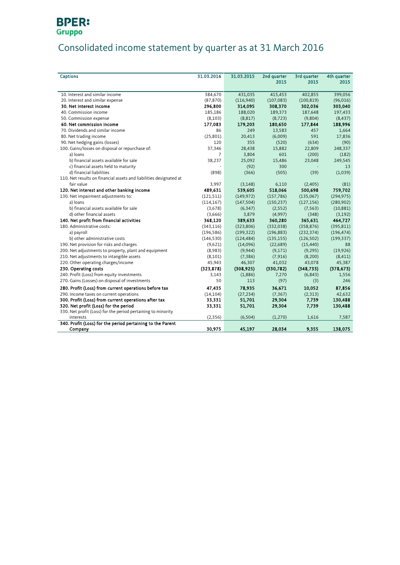## **BPER:**<br>Gruppo

## Consolidated income statement by quarter as at 31 March 2016

| <b>Captions</b>                                                    | 31.03.2016 | 31.03.2015 | 2nd quarter | 3rd quarter | 4th quarter |
|--------------------------------------------------------------------|------------|------------|-------------|-------------|-------------|
|                                                                    |            |            | 2015        | 2015        | 2015        |
|                                                                    |            |            |             |             |             |
| 10. Interest and similar income                                    | 384,670    | 431,035    | 415,453     | 402,855     | 399,056     |
| 20. Interest and similar expense                                   | (87, 870)  | (116,940)  | (107, 083)  | (100, 819)  | (96,016)    |
| 30. Net interest income                                            | 296,800    | 314,095    | 308,370     | 302,036     | 303,040     |
| 40. Commission income                                              | 185,186    | 188,020    | 189,373     | 187,648     | 197,433     |
| 50. Commission expense                                             | (8,103)    | (8, 817)   | (8, 723)    | (9,804)     | (8, 437)    |
| 60. Net commission income                                          | 177,083    | 179,203    | 180,650     | 177,844     | 188,996     |
| 70. Dividends and similar income                                   | 86         | 249        | 13,583      | 457         | 1,664       |
| 80. Net trading income                                             | (25, 801)  | 20,413     | (6,009)     | 591         | 17,836      |
| 90. Net hedging gains (losses)                                     | 120        | 355        | (520)       | (634)       | (90)        |
| 100. Gains/losses on disposal or repurchase of:                    | 37,346     | 28,438     | 15,882      | 22,809      | 248,337     |
| a) loans                                                           | 7          | 3,804      | 601         | (200)       | (182)       |
| b) financial assets available for sale                             | 38,237     | 25,092     | 15,486      | 23,048      | 249,545     |
| c) financial assets held to maturity                               |            | (92)       | 300         |             | 13          |
| d) financial liabilities                                           | (898)      | (366)      | (505)       | (39)        | (1,039)     |
| 110. Net results on financial assets and liabilities designated at |            |            |             |             |             |
| fair value                                                         | 3,997      | (3, 148)   | 6,110       | (2,405)     | (81)        |
| 120. Net interest and other banking income                         | 489,631    | 539,605    | 518,066     | 500,698     | 759,702     |
| 130. Net impairment adjustments to:                                | (121, 511) | (149, 972) | (157, 786)  | (135,067)   | (294, 975)  |
| a) loans                                                           | (114, 167) | (147, 504) | (150, 237)  | (127, 156)  | (280, 902)  |
| b) financial assets available for sale                             | (3,678)    | (6, 347)   | (2, 552)    | (7, 563)    | (10, 881)   |
| d) other financial assets                                          | (3,666)    | 3,879      | (4,997)     | (348)       | (3, 192)    |
| 140. Net profit from financial activities                          | 368,120    | 389,633    | 360,280     | 365,631     | 464,727     |
| 180. Administrative costs:                                         | (343, 116) | (323, 806) | (332,038)   | (358, 876)  | (395, 811)  |
| a) payroll                                                         | (196, 586) | (199, 322) | (196, 883)  | (232, 374)  | (196, 474)  |
| b) other administrative costs                                      | (146, 530) | (124, 484) | (135, 155)  | (126, 502)  | (199, 337)  |
| 190. Net provision for risks and charges                           | (9,621)    | (14,096)   | (22, 689)   | (15, 440)   | 88          |
| 200. Net adjustments to property, plant and equipment              | (8,983)    | (9,944)    | (9,171)     | (9, 295)    | (19, 926)   |
| 210. Net adjustments to intangible assets                          | (8,101)    | (7, 386)   | (7, 916)    | (8,200)     | (8,411)     |
| 220. Other operating charges/income                                | 45,943     | 46,307     | 41,032      | 43,078      | 45,387      |
| 230. Operating costs                                               | (323, 878) | (308, 925) | (330, 782)  | (348, 733)  | (378, 673)  |
| 240. Profit (Loss) from equity investments                         | 3,143      | (1,886)    | 7,270       | (6, 843)    | 1,556       |
| 270. Gains (Losses) on disposal of investments                     | 50         | 113        | (97)        | (3)         | 246         |
| 280. Profit (Loss) from current operations before tax              | 47,435     | 78,935     | 36,671      | 10,052      | 87,856      |
| 290. Income taxes on current operations                            | (14, 104)  | (27, 234)  | (7, 367)    | (2,313)     | 42,632      |
| 300. Profit (Loss) from current operations after tax               | 33,331     | 51,701     | 29,304      | 7,739       | 130,488     |
| 320. Net profit (Loss) for the period                              | 33,331     | 51,701     | 29,304      | 7,739       | 130,488     |
| 330. Net profit (Loss) for the period pertaining to minority       |            |            |             |             |             |
| interests                                                          | (2, 356)   | (6,504)    | (1,270)     | 1,616       | 7,587       |
| 340. Profit (Loss) for the period pertaining to the Parent         |            |            |             |             |             |
| Company                                                            | 30,975     | 45,197     | 28,034      | 9,355       | 138,075     |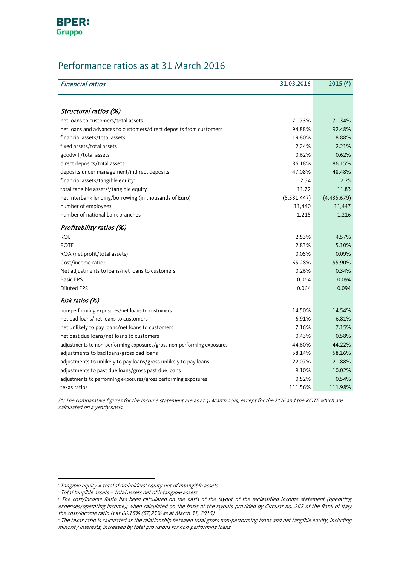

## Performance ratios as at 31 March 2016

| <b>Financial ratios</b>                                                | 31.03.2016  | $2015$ (*)  |
|------------------------------------------------------------------------|-------------|-------------|
|                                                                        |             |             |
| Structural ratios (%)                                                  |             |             |
| net loans to customers/total assets                                    | 71.73%      | 71.34%      |
| net loans and advances to customers/direct deposits from customers     | 94.88%      | 92.48%      |
| financial assets/total assets                                          | 19.80%      | 18.88%      |
| fixed assets/total assets                                              | 2.24%       | 2.21%       |
| goodwill/total assets                                                  | 0.62%       | 0.62%       |
| direct deposits/total assets                                           | 86.18%      | 86.15%      |
| deposits under management/indirect deposits                            | 47.08%      | 48.48%      |
| financial assets/tangible equity                                       | 2.34        | 2.25        |
| total tangible assets <sup>2</sup> /tangible equity                    | 11.72       | 11.83       |
| net interbank lending/borrowing (in thousands of Euro)                 | (5,531,447) | (4,435,679) |
| number of employees                                                    | 11,440      | 11,447      |
| number of national bank branches                                       | 1,215       | 1,216       |
| Profitability ratios (%)                                               |             |             |
| <b>ROE</b>                                                             | 2.53%       | 4.57%       |
| <b>ROTE</b>                                                            | 2.83%       | 5.10%       |
| ROA (net profit/total assets)                                          | 0.05%       | 0.09%       |
| Cost/income ratio <sup>3</sup>                                         | 65.28%      | 55.90%      |
| Net adjustments to loans/net loans to customers                        | 0.26%       | 0.34%       |
| <b>Basic EPS</b>                                                       | 0.064       | 0.094       |
| <b>Diluted EPS</b>                                                     | 0.064       | 0.094       |
| Risk ratios (%)                                                        |             |             |
| non-performing exposures/net loans to customers                        | 14.50%      | 14.54%      |
| net bad loans/net loans to customers                                   | 6.91%       | 6.81%       |
| net unlikely to pay loans/net loans to customers                       | 7.16%       | 7.15%       |
| net past due loans/net loans to customers                              | 0.43%       | 0.58%       |
| adjustments to non-performing exposures/gross non-performing exposures | 44.60%      | 44.22%      |
| adjustments to bad loans/gross bad loans                               | 58.14%      | 58.16%      |
| adjustments to unlikely to pay loans/gross unlikely to pay loans       | 22.07%      | 21.88%      |
| adjustments to past due loans/gross past due loans                     | 9.10%       | 10.02%      |
| adjustments to performing exposures/gross performing exposures         | 0.52%       | 0.54%       |
| texas ratio <sup>4</sup>                                               | 111.56%     | 111.98%     |

(\*) The comparative figures for the income statement are as at 31 March 2015, except for the ROE and the ROTE which are calculated on a yearly basis.

<span id="page-12-3"></span> $\overline{a}$ 

<sup>&</sup>lt;sup>1</sup> Tangible equity = total shareholders' equity net of intangible assets.

<span id="page-12-0"></span><sup>2</sup> Total tangible assets = total assets net of intangible assets.

<span id="page-12-1"></span><sup>3</sup> The cost/income Ratio has been calculated on the basis of the layout of the reclassified income statement (operating expenses/operating income); when calculated on the basis of the layouts provided by Circular no. 262 of the Bank of Italy the cost/income ratio is at 66.15% (57,25% as at March 31, 2015).

<span id="page-12-2"></span><sup>4</sup> The texas ratio is calculated as the relationship between total gross non-performing loans and net tangible equity, including minority interests, increased by total provisions for non-performing loans.